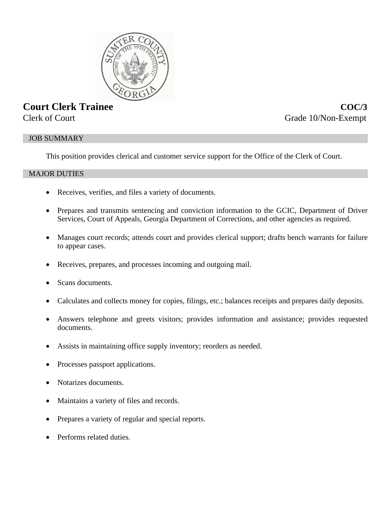

# **Court Clerk Trainee COC/3**

Clerk of Court Grade 10/Non-Exempt

# JOB SUMMARY

This position provides clerical and customer service support for the Office of the Clerk of Court.

## MAJOR DUTIES

- Receives, verifies, and files a variety of documents.
- Prepares and transmits sentencing and conviction information to the GCIC, Department of Driver Services, Court of Appeals, Georgia Department of Corrections, and other agencies as required.
- Manages court records; attends court and provides clerical support; drafts bench warrants for failure to appear cases.
- Receives, prepares, and processes incoming and outgoing mail.
- Scans documents.
- Calculates and collects money for copies, filings, etc.; balances receipts and prepares daily deposits.
- Answers telephone and greets visitors; provides information and assistance; provides requested documents.
- Assists in maintaining office supply inventory; reorders as needed.
- Processes passport applications.
- Notarizes documents.
- Maintains a variety of files and records.
- Prepares a variety of regular and special reports.
- Performs related duties.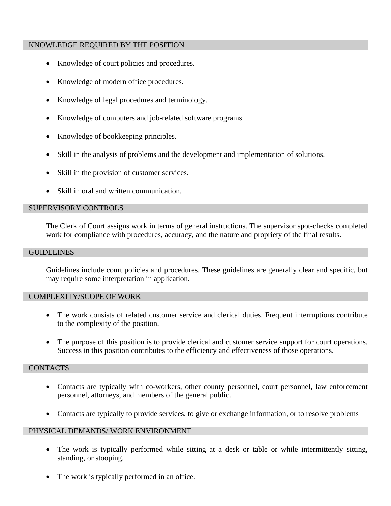## KNOWLEDGE REQUIRED BY THE POSITION

- Knowledge of court policies and procedures.
- Knowledge of modern office procedures.
- Knowledge of legal procedures and terminology.
- Knowledge of computers and job-related software programs.
- Knowledge of bookkeeping principles.
- Skill in the analysis of problems and the development and implementation of solutions.
- Skill in the provision of customer services.
- Skill in oral and written communication.

### SUPERVISORY CONTROLS

The Clerk of Court assigns work in terms of general instructions. The supervisor spot-checks completed work for compliance with procedures, accuracy, and the nature and propriety of the final results.

#### GUIDELINES

Guidelines include court policies and procedures. These guidelines are generally clear and specific, but may require some interpretation in application.

#### COMPLEXITY/SCOPE OF WORK

- The work consists of related customer service and clerical duties. Frequent interruptions contribute to the complexity of the position.
- The purpose of this position is to provide clerical and customer service support for court operations. Success in this position contributes to the efficiency and effectiveness of those operations.

#### **CONTACTS**

- Contacts are typically with co-workers, other county personnel, court personnel, law enforcement personnel, attorneys, and members of the general public.
- Contacts are typically to provide services, to give or exchange information, or to resolve problems

## PHYSICAL DEMANDS/ WORK ENVIRONMENT

- The work is typically performed while sitting at a desk or table or while intermittently sitting, standing, or stooping.
- The work is typically performed in an office.